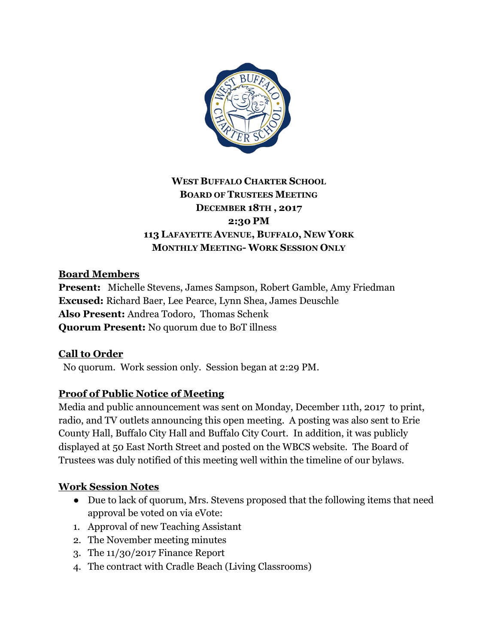

# **WEST BUFFALO CHARTER SCHOOL BOARD OF TRUSTEES MEETING DECEMBER 18TH , 2017 2:30 PM 113 LAFAYETTE AVENUE, BUFFALO, NEW YORK MONTHLY MEETING- WORK SESSION ONLY**

# **Board Members**

**Present:** Michelle Stevens, James Sampson, Robert Gamble, Amy Friedman **Excused:** Richard Baer, Lee Pearce, Lynn Shea, James Deuschle **Also Present:** Andrea Todoro, Thomas Schenk **Quorum Present:** No quorum due to BoT illness

# **Call to Order**

No quorum. Work session only. Session began at 2:29 PM.

# **Proof of Public Notice of Meeting**

Media and public announcement was sent on Monday, December 11th, 2017 to print, radio, and TV outlets announcing this open meeting. A posting was also sent to Erie County Hall, Buffalo City Hall and Buffalo City Court. In addition, it was publicly displayed at 50 East North Street and posted on the WBCS website. The Board of Trustees was duly notified of this meeting well within the timeline of our bylaws.

# **Work Session Notes**

- Due to lack of quorum, Mrs. Stevens proposed that the following items that need approval be voted on via eVote:
- 1. Approval of new Teaching Assistant
- 2. The November meeting minutes
- 3. The 11/30/2017 Finance Report
- 4. The contract with Cradle Beach (Living Classrooms)